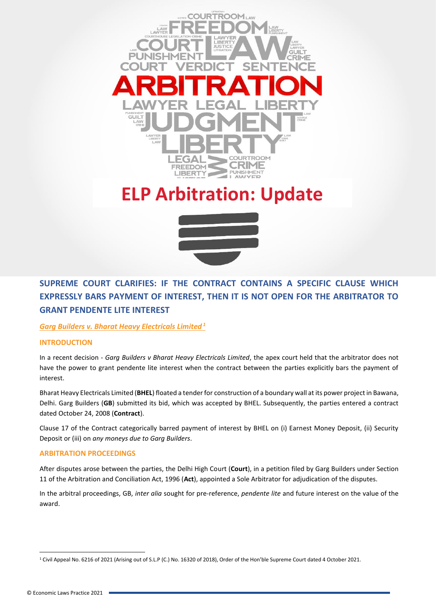

# **ELP Arbitration: Update**



# **SUPREME COURT CLARIFIES: IF THE CONTRACT CONTAINS A SPECIFIC CLAUSE WHICH EXPRESSLY BARS PAYMENT OF INTEREST, THEN IT IS NOT OPEN FOR THE ARBITRATOR TO GRANT PENDENTE LITE INTEREST**

# *Garg Builders v. Bharat Heavy Electricals Limited <sup>1</sup>*

# **INTRODUCTION**

In a recent decision - *Garg Builders v Bharat Heavy Electricals Limited*, the apex court held that the arbitrator does not have the power to grant pendente lite interest when the contract between the parties explicitly bars the payment of interest.

Bharat Heavy Electricals Limited (**BHEL**) floated a tender for construction of a boundary wall at its power project in Bawana, Delhi. Garg Builders (**GB**) submitted its bid, which was accepted by BHEL. Subsequently, the parties entered a contract dated October 24, 2008 (**Contract**).

Clause 17 of the Contract categorically barred payment of interest by BHEL on (i) Earnest Money Deposit, (ii) Security Deposit or (iii) on *any moneys due to Garg Builders*.

# **ARBITRATION PROCEEDINGS**

After disputes arose between the parties, the Delhi High Court (**Court**), in a petition filed by Garg Builders under Section 11 of the Arbitration and Conciliation Act, 1996 (**Act**), appointed a Sole Arbitrator for adjudication of the disputes.

In the arbitral proceedings, GB, *inter alia* sought for pre-reference, *pendente lite* and future interest on the value of the award.

<sup>&</sup>lt;sup>1</sup> Civil Appeal No. 6216 of 2021 (Arising out of S.L.P (C.) No. 16320 of 2018), Order of the Hon'ble Supreme Court dated 4 October 2021.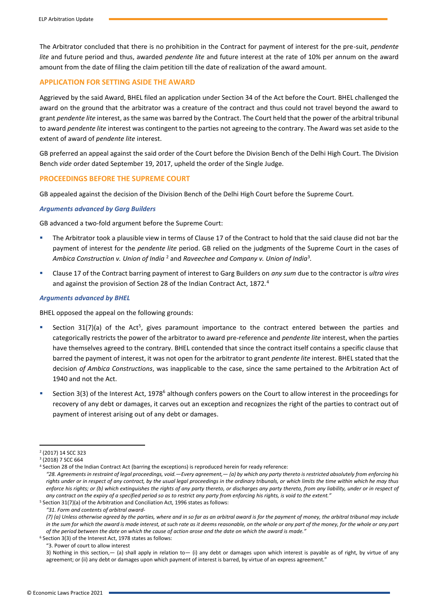The Arbitrator concluded that there is no prohibition in the Contract for payment of interest for the pre-suit, *pendente lite* and future period and thus, awarded *pendente lite* and future interest at the rate of 10% per annum on the award amount from the date of filing the claim petition till the date of realization of the award amount.

# **APPLICATION FOR SETTING ASIDE THE AWARD**

Aggrieved by the said Award, BHEL filed an application under Section 34 of the Act before the Court. BHEL challenged the award on the ground that the arbitrator was a creature of the contract and thus could not travel beyond the award to grant *pendente lite* interest, as the same was barred by the Contract. The Court held that the power of the arbitral tribunal to award *pendente lite* interest was contingent to the parties not agreeing to the contrary. The Award was set aside to the extent of award of *pendente lite* interest.

GB preferred an appeal against the said order of the Court before the Division Bench of the Delhi High Court. The Division Bench *vide* order dated September 19, 2017, upheld the order of the Single Judge.

#### **PROCEEDINGS BEFORE THE SUPREME COURT**

GB appealed against the decision of the Division Bench of the Delhi High Court before the Supreme Court.

#### *Arguments advanced by Garg Builders*

GB advanced a two-fold argument before the Supreme Court:

- The Arbitrator took a plausible view in terms of Clause 17 of the Contract to hold that the said clause did not bar the payment of interest for the *pendente lite* period. GB relied on the judgments of the Supreme Court in the cases of *Ambica Construction v. Union of India* <sup>2</sup> and *Raveechee and Company v. Union of India*<sup>3</sup> *.*
- Clause 17 of the Contract barring payment of interest to Garg Builders on *any sum* due to the contractor is *ultra vires* and against the provision of Section 28 of the Indian Contract Act, 1872.<sup>4</sup>

#### *Arguments advanced by BHEL*

BHEL opposed the appeal on the following grounds:

- **EXECT SECTION 31(7)(a)** of the Act<sup>5</sup>, gives paramount importance to the contract entered between the parties and categorically restricts the power of the arbitrator to award pre-reference and *pendente lite* interest, when the parties have themselves agreed to the contrary. BHEL contended that since the contract itself contains a specific clause that barred the payment of interest, it was not open for the arbitrator to grant *pendente lite* interest. BHEL stated that the decision *of Ambica Constructions*, was inapplicable to the case, since the same pertained to the Arbitration Act of 1940 and not the Act.
- Section 3(3) of the Interest Act, 1978<sup>6</sup> although confers powers on the Court to allow interest in the proceedings for recovery of any debt or damages, it carves out an exception and recognizes the right of the parties to contract out of payment of interest arising out of any debt or damages.

*"31. Form and contents of arbitral award-*

"3. Power of court to allow interest

3) Nothing in this section,— (a) shall apply in relation to— (i) any debt or damages upon which interest is payable as of right, by virtue of any agreement; or (ii) any debt or damages upon which payment of interest is barred, by virtue of an express agreement."

<sup>2</sup> (2017) 14 SCC 323

<sup>3</sup> (2018) 7 SCC 664

<sup>4</sup> Section 28 of the Indian Contract Act (barring the exceptions) is reproduced herein for ready reference:

*<sup>&</sup>quot;28. Agreements in restraint of legal proceedings, void.—Every agreement,— (a) by which any party thereto is restricted absolutely from enforcing his rights under or in respect of any contract, by the usual legal proceedings in the ordinary tribunals, or which limits the time within which he may thus enforce his rights; or (b) which extinguishes the rights of any party thereto, or discharges any party thereto, from any liability, under or in respect of any contract on the expiry of a specified period so as to restrict any party from enforcing his rights, is void to the extent."*

<sup>5</sup> Section 31(7)(a) of the Arbitration and Conciliation Act, 1996 states as follows:

*<sup>(7) (</sup>a) Unless otherwise agreed by the parties, where and in so far as an arbitral award is for the payment of money, the arbitral tribunal may include*  in the sum for which the award is made interest, at such rate as it deems reasonable, on the whole or any part of the money, for the whole or any part *of the period between the date on which the cause of action arose and the date on which the award is made."*

<sup>6</sup> Section 3(3) of the Interest Act, 1978 states as follows: